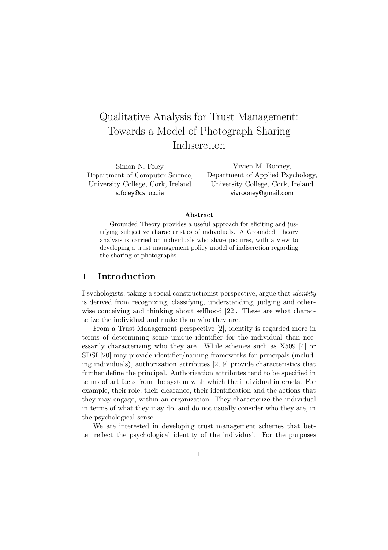# Qualitative Analysis for Trust Management: Towards a Model of Photograph Sharing Indiscretion

Simon N. Foley Department of Computer Science, University College, Cork, Ireland s.foley@cs.ucc.ie

Vivien M. Rooney, Department of Applied Psychology, University College, Cork, Ireland vivrooney@gmail.com

#### Abstract

Grounded Theory provides a useful approach for eliciting and justifying subjective characteristics of individuals. A Grounded Theory analysis is carried on individuals who share pictures, with a view to developing a trust management policy model of indiscretion regarding the sharing of photographs.

## 1 Introduction

Psychologists, taking a social constructionist perspective, argue that *identity* is derived from recognizing, classifying, understanding, judging and otherwise conceiving and thinking about selfhood [22]. These are what characterize the individual and make them who they are.

From a Trust Management perspective [2], identity is regarded more in terms of determining some unique identifier for the individual than necessarily characterizing who they are. While schemes such as X509 [4] or SDSI [20] may provide identifier/naming frameworks for principals (including individuals), authorization attributes [2, 9] provide characteristics that further define the principal. Authorization attributes tend to be specified in terms of artifacts from the system with which the individual interacts. For example, their role, their clearance, their identification and the actions that they may engage, within an organization. They characterize the individual in terms of what they may do, and do not usually consider who they are, in the psychological sense.

We are interested in developing trust management schemes that better reflect the psychological identity of the individual. For the purposes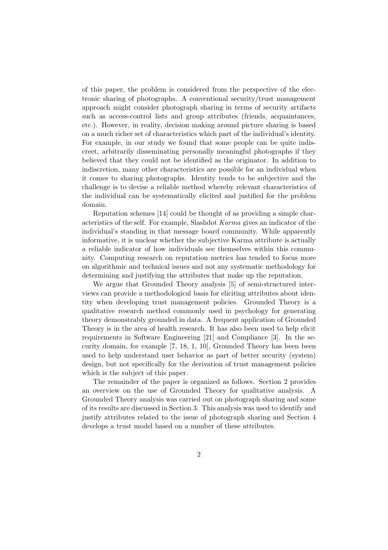of this paper, the problem is considered from the perspective of the electronic sharing of photographs. A conventional security/trust management approach might consider photograph sharing in terms of security artifacts such as access-control lists and group attributes (friends, acquaintances, etc.). However, in reality, decision making around picture sharing is based on a much richer set of characteristics which part of the individual's identity. For example, in our study we found that some people can be quite indiscreet, arbitrarily disseminating personally meaningful photographs if they believed that they could not be identified as the originator. In addition to indiscretion, many other characteristics are possible for an individual when it comes to sharing photographs. Identity tends to be subjective and the challenge is to devise a reliable method whereby relevant characteristics of the individual can be systematically elicited and justified for the problem domain.

Reputation schemes [14] could be thought of as providing a simple characteristics of the self. For example, Slashdot *Karma* gives an indicator of the individual's standing in that message board community. While apparently informative, it is unclear whether the subjective Karma attribute is actually a reliable indicator of how individuals see themselves within this community. Computing research on reputation metrics has tended to focus more on algorithmic and technical issues and not any systematic methodology for determining and justifying the attributes that make up the reputation.

We argue that Grounded Theory analysis [5] of semi-structured interviews can provide a methodological basis for eliciting attributes about identity when developing trust management policies. Grounded Theory is a qualitative research method commonly used in psychology for generating theory demonstrably grounded in data. A frequent application of Grounded Theory is in the area of health research. It has also been used to help elicit requirements in Software Engineering [21] and Compliance [3]. In the security domain, for example [7, 18, 1, 10], Grounded Theory has been been used to help understand user behavior as part of better security (system) design, but not specifically for the derivation of trust management policies which is the subject of this paper.

The remainder of the paper is organized as follows. Section 2 provides an overview on the use of Grounded Theory for qualitative analysis. A Grounded Theory analysis was carried out on photograph sharing and some of its results are discussed in Section 3. This analysis was used to identify and justify attributes related to the issue of photograph sharing and Section 4 develops a trust model based on a number of these attributes.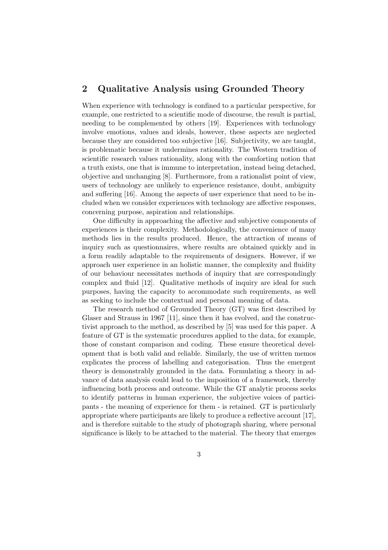## 2 Qualitative Analysis using Grounded Theory

When experience with technology is confined to a particular perspective, for example, one restricted to a scientific mode of discourse, the result is partial, needing to be complemented by others [19]. Experiences with technology involve emotions, values and ideals, however, these aspects are neglected because they are considered too subjective [16]. Subjectivity, we are taught, is problematic because it undermines rationality. The Western tradition of scientific research values rationality, along with the comforting notion that a truth exists, one that is immune to interpretation, instead being detached, objective and unchanging [8]. Furthermore, from a rationalist point of view, users of technology are unlikely to experience resistance, doubt, ambiguity and suffering [16]. Among the aspects of user experience that need to be included when we consider experiences with technology are affective responses, concerning purpose, aspiration and relationships.

One difficulty in approaching the affective and subjective components of experiences is their complexity. Methodologically, the convenience of many methods lies in the results produced. Hence, the attraction of means of inquiry such as questionnaires, where results are obtained quickly and in a form readily adaptable to the requirements of designers. However, if we approach user experience in an holistic manner, the complexity and fluidity of our behaviour necessitates methods of inquiry that are correspondingly complex and fluid [12]. Qualitative methods of inquiry are ideal for such purposes, having the capacity to accommodate such requirements, as well as seeking to include the contextual and personal meaning of data.

The research method of Grounded Theory (GT) was first described by Glaser and Strauss in 1967 [11], since then it has evolved, and the constructivist approach to the method, as described by [5] was used for this paper. A feature of GT is the systematic procedures applied to the data, for example, those of constant comparison and coding. These ensure theoretical development that is both valid and reliable. Similarly, the use of written memos explicates the process of labelling and categorisation. Thus the emergent theory is demonstrably grounded in the data. Formulating a theory in advance of data analysis could lead to the imposition of a framework, thereby influencing both process and outcome. While the GT analytic process seeks to identify patterns in human experience, the subjective voices of participants - the meaning of experience for them - is retained. GT is particularly appropriate where participants are likely to produce a reflective account [17], and is therefore suitable to the study of photograph sharing, where personal significance is likely to be attached to the material. The theory that emerges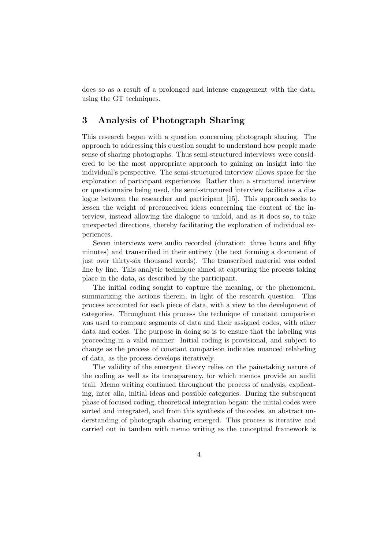does so as a result of a prolonged and intense engagement with the data, using the GT techniques.

# 3 Analysis of Photograph Sharing

This research began with a question concerning photograph sharing. The approach to addressing this question sought to understand how people made sense of sharing photographs. Thus semi-structured interviews were considered to be the most appropriate approach to gaining an insight into the individual's perspective. The semi-structured interview allows space for the exploration of participant experiences. Rather than a structured interview or questionnaire being used, the semi-structured interview facilitates a dialogue between the researcher and participant [15]. This approach seeks to lessen the weight of preconceived ideas concerning the content of the interview, instead allowing the dialogue to unfold, and as it does so, to take unexpected directions, thereby facilitating the exploration of individual experiences.

Seven interviews were audio recorded (duration: three hours and fifty minutes) and transcribed in their entirety (the text forming a document of just over thirty-six thousand words). The transcribed material was coded line by line. This analytic technique aimed at capturing the process taking place in the data, as described by the participant.

The initial coding sought to capture the meaning, or the phenomena, summarizing the actions therein, in light of the research question. This process accounted for each piece of data, with a view to the development of categories. Throughout this process the technique of constant comparison was used to compare segments of data and their assigned codes, with other data and codes. The purpose in doing so is to ensure that the labeling was proceeding in a valid manner. Initial coding is provisional, and subject to change as the process of constant comparison indicates nuanced relabeling of data, as the process develops iteratively.

The validity of the emergent theory relies on the painstaking nature of the coding as well as its transparency, for which memos provide an audit trail. Memo writing continued throughout the process of analysis, explicating, inter alia, initial ideas and possible categories. During the subsequent phase of focused coding, theoretical integration began: the initial codes were sorted and integrated, and from this synthesis of the codes, an abstract understanding of photograph sharing emerged. This process is iterative and carried out in tandem with memo writing as the conceptual framework is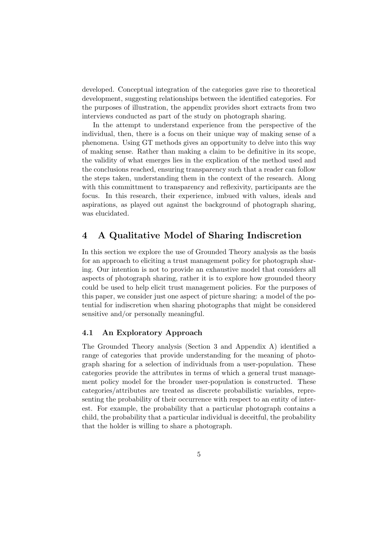developed. Conceptual integration of the categories gave rise to theoretical development, suggesting relationships between the identified categories. For the purposes of illustration, the appendix provides short extracts from two interviews conducted as part of the study on photograph sharing.

In the attempt to understand experience from the perspective of the individual, then, there is a focus on their unique way of making sense of a phenomena. Using GT methods gives an opportunity to delve into this way of making sense. Rather than making a claim to be definitive in its scope, the validity of what emerges lies in the explication of the method used and the conclusions reached, ensuring transparency such that a reader can follow the steps taken, understanding them in the context of the research. Along with this committment to transparency and reflexivity, participants are the focus. In this research, their experience, imbued with values, ideals and aspirations, as played out against the background of photograph sharing, was elucidated.

## 4 A Qualitative Model of Sharing Indiscretion

In this section we explore the use of Grounded Theory analysis as the basis for an approach to eliciting a trust management policy for photograph sharing. Our intention is not to provide an exhaustive model that considers all aspects of photograph sharing, rather it is to explore how grounded theory could be used to help elicit trust management policies. For the purposes of this paper, we consider just one aspect of picture sharing: a model of the potential for indiscretion when sharing photographs that might be considered sensitive and/or personally meaningful.

#### 4.1 An Exploratory Approach

The Grounded Theory analysis (Section 3 and Appendix A) identified a range of categories that provide understanding for the meaning of photograph sharing for a selection of individuals from a user-population. These categories provide the attributes in terms of which a general trust management policy model for the broader user-population is constructed. These categories/attributes are treated as discrete probabilistic variables, representing the probability of their occurrence with respect to an entity of interest. For example, the probability that a particular photograph contains a child, the probability that a particular individual is deceitful, the probability that the holder is willing to share a photograph.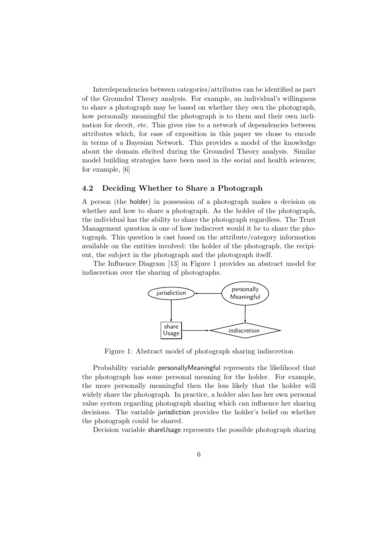Interdependencies between categories/attributes can be identified as part of the Grounded Theory analysis. For example, an individual's willingness to share a photograph may be based on whether they own the photograph, how personally meaningful the photograph is to them and their own inclination for deceit, etc. This gives rise to a network of dependencies between attributes which, for ease of exposition in this paper we chose to encode in terms of a Bayesian Network. This provides a model of the knowledge about the domain elicited during the Grounded Theory analysis. Similar model building strategies have been used in the social and health sciences; for example, [6]

#### 4.2 Deciding Whether to Share a Photograph

A person (the holder) in possession of a photograph makes a decision on whether and how to share a photograph. As the holder of the photograph, the individual has the ability to share the photograph regardless. The Trust Management question is one of how indiscreet would it be to share the photograph. This question is cast based on the attribute/category information available on the entities involved: the holder of the photograph, the recipient, the subject in the photograph and the photograph itself.

The Influence Diagram [13] in Figure 1 provides an abstract model for indiscretion over the sharing of photographs.



Figure 1: Abstract model of photograph sharing indiscretion

Probability variable personallyMeaningful represents the likelihood that the photograph has some personal meaning for the holder. For example, the more personally meaningful then the less likely that the holder will widely share the photograph. In practice, a holder also has her own personal value system regarding photograph sharing which can influence her sharing decisions. The variable jurisdiction provides the holder's belief on whether the photograph could be shared.

Decision variable shareUsage represents the possible photograph sharing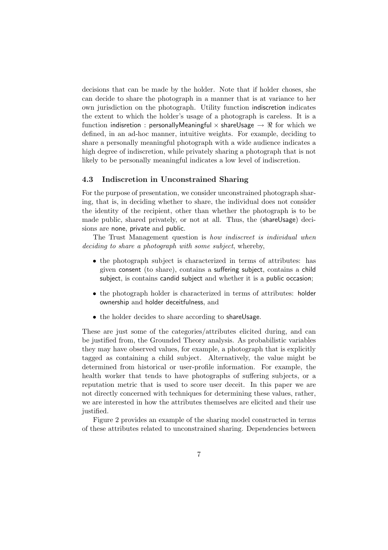decisions that can be made by the holder. Note that if holder choses, she can decide to share the photograph in a manner that is at variance to her own jurisdiction on the photograph. Utility function indiscretion indicates the extent to which the holder's usage of a photograph is careless. It is a function indisretion : personallyMeaningful  $\times$  shareUsage  $\rightarrow \Re$  for which we defined, in an ad-hoc manner, intuitive weights. For example, deciding to share a personally meaningful photograph with a wide audience indicates a high degree of indiscretion, while privately sharing a photograph that is not likely to be personally meaningful indicates a low level of indiscretion.

#### 4.3 Indiscretion in Unconstrained Sharing

For the purpose of presentation, we consider unconstrained photograph sharing, that is, in deciding whether to share, the individual does not consider the identity of the recipient, other than whether the photograph is to be made public, shared privately, or not at all. Thus, the (shareUsage) decisions are none, private and public.

The Trust Management question is *how indiscreet is individual when deciding to share a photograph with some subject*, whereby,

- the photograph subject is characterized in terms of attributes: has given consent (to share), contains a suffering subject, contains a child subject, is contains candid subject and whether it is a public occasion;
- the photograph holder is characterized in terms of attributes: holder ownership and holder deceitfulness, and
- the holder decides to share according to shareUsage.

These are just some of the categories/attributes elicited during, and can be justified from, the Grounded Theory analysis. As probabilistic variables they may have observed values, for example, a photograph that is explicitly tagged as containing a child subject. Alternatively, the value might be determined from historical or user-profile information. For example, the health worker that tends to have photographs of suffering subjects, or a reputation metric that is used to score user deceit. In this paper we are not directly concerned with techniques for determining these values, rather, we are interested in how the attributes themselves are elicited and their use justified.

Figure 2 provides an example of the sharing model constructed in terms of these attributes related to unconstrained sharing. Dependencies between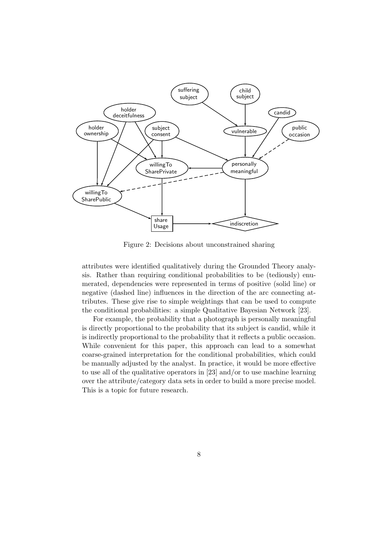

Figure 2: Decisions about unconstrained sharing

attributes were identified qualitatively during the Grounded Theory analysis. Rather than requiring conditional probabilities to be (tediously) enumerated, dependencies were represented in terms of positive (solid line) or negative (dashed line) influences in the direction of the arc connecting attributes. These give rise to simple weightings that can be used to compute the conditional probabilities: a simple Qualitative Bayesian Network [23].

For example, the probability that a photograph is personally meaningful is directly proportional to the probability that its subject is candid, while it is indirectly proportional to the probability that it reflects a public occasion. While convenient for this paper, this approach can lead to a somewhat coarse-grained interpretation for the conditional probabilities, which could be manually adjusted by the analyst. In practice, it would be more effective to use all of the qualitative operators in [23] and/or to use machine learning over the attribute/category data sets in order to build a more precise model. This is a topic for future research.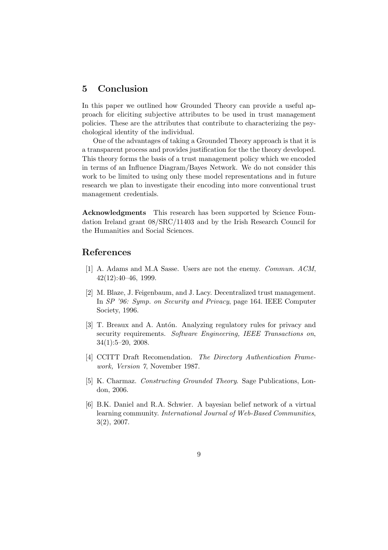## 5 Conclusion

In this paper we outlined how Grounded Theory can provide a useful approach for eliciting subjective attributes to be used in trust management policies. These are the attributes that contribute to characterizing the psychological identity of the individual.

One of the advantages of taking a Grounded Theory approach is that it is a transparent process and provides justification for the the theory developed. This theory forms the basis of a trust management policy which we encoded in terms of an Influence Diagram/Bayes Network. We do not consider this work to be limited to using only these model representations and in future research we plan to investigate their encoding into more conventional trust management credentials.

Acknowledgments This research has been supported by Science Foundation Ireland grant 08/SRC/11403 and by the Irish Research Council for the Humanities and Social Sciences.

## References

- [1] A. Adams and M.A Sasse. Users are not the enemy. *Commun. ACM*, 42(12):40–46, 1999.
- [2] M. Blaze, J. Feigenbaum, and J. Lacy. Decentralized trust management. In *SP '96: Symp. on Security and Privacy*, page 164. IEEE Computer Society, 1996.
- [3] T. Breaux and A. Antón. Analyzing regulatory rules for privacy and security requirements. *Software Engineering, IEEE Transactions on*, 34(1):5–20, 2008.
- [4] CCITT Draft Recomendation. *The Directory Authentication Framework, Version 7*, November 1987.
- [5] K. Charmaz. *Constructing Grounded Theory*. Sage Publications, London, 2006.
- [6] B.K. Daniel and R.A. Schwier. A bayesian belief network of a virtual learning community. *International Journal of Web-Based Communities*, 3(2), 2007.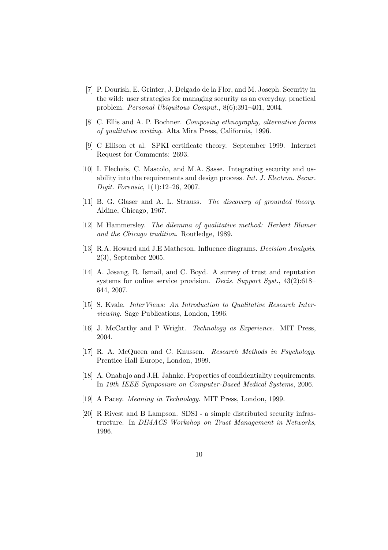- [7] P. Dourish, E. Grinter, J. Delgado de la Flor, and M. Joseph. Security in the wild: user strategies for managing security as an everyday, practical problem. *Personal Ubiquitous Comput.*, 8(6):391–401, 2004.
- [8] C. Ellis and A. P. Bochner. *Composing ethnography, alternative forms of qualitative writing*. Alta Mira Press, California, 1996.
- [9] C Ellison et al. SPKI certificate theory. September 1999. Internet Request for Comments: 2693.
- [10] I. Flechais, C. Mascolo, and M.A. Sasse. Integrating security and usability into the requirements and design process. *Int. J. Electron. Secur. Digit. Forensic*, 1(1):12–26, 2007.
- [11] B. G. Glaser and A. L. Strauss. *The discovery of grounded theory*. Aldine, Chicago, 1967.
- [12] M Hammersley. *The dilemma of qualitative method: Herbert Blumer and the Chicago tradition*. Routledge, 1989.
- [13] R.A. Howard and J.E Matheson. Influence diagrams. *Decision Analysis*, 2(3), September 2005.
- [14] A. Jøsang, R. Ismail, and C. Boyd. A survey of trust and reputation systems for online service provision. *Decis. Support Syst.*, 43(2):618– 644, 2007.
- [15] S. Kvale. *InterViews: An Introduction to Qualitative Research Interviewing*. Sage Publications, London, 1996.
- [16] J. McCarthy and P Wright. *Technology as Experience*. MIT Press, 2004.
- [17] R. A. McQueen and C. Knussen. *Research Methods in Psychology*. Prentice Hall Europe, London, 1999.
- [18] A. Onabajo and J.H. Jahnke. Properties of confidentiality requirements. In *19th IEEE Symposium on Computer-Based Medical Systems*, 2006.
- [19] A Pacey. *Meaning in Technology*. MIT Press, London, 1999.
- [20] R Rivest and B Lampson. SDSI a simple distributed security infrastructure. In *DIMACS Workshop on Trust Management in Networks*, 1996.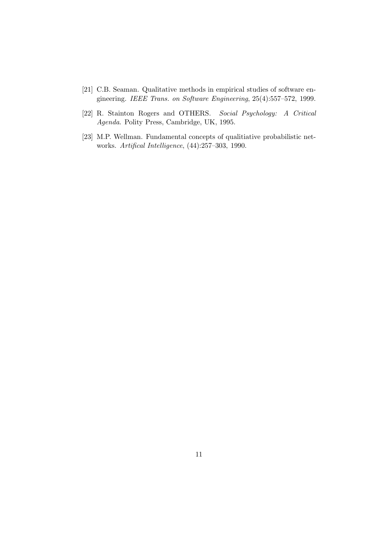- [21] C.B. Seaman. Qualitative methods in empirical studies of software engineering. *IEEE Trans. on Software Engineering*, 25(4):557–572, 1999.
- [22] R. Stainton Rogers and OTHERS. *Social Psychology: A Critical Agenda*. Polity Press, Cambridge, UK, 1995.
- [23] M.P. Wellman. Fundamental concepts of qualitiative probabilistic networks. *Artifical Intelligence*, (44):257–303, 1990.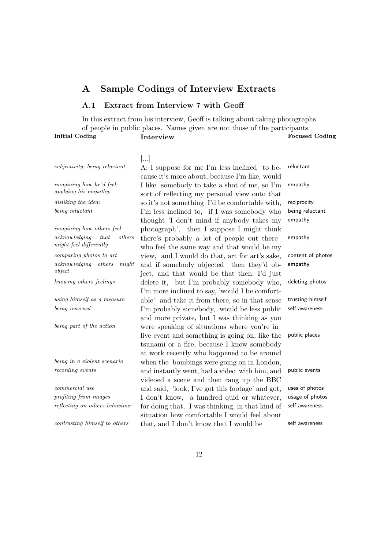# A Sample Codings of Interview Extracts

#### A.1 Extract from Interview 7 with Geoff

In this extract from his interview, Geoff is talking about taking photographs of people in public places. Names given are not those of the participants. Initial Coding **Interview** Focused Coding

[...] subjectivity; being reluctant A: I suppose for me I'm less inclined to be- reluctant cause it's more about, because I'm like, would imagining how he'd feel; I like somebody to take a shot of me, so I'm applying his empathy; empathy sort of reflecting my personal view onto that disliking the idea; so it's not something I'd be comfortable with, reciprocity being reluctant I'm less inclined to, if I was somebody who being reluctant thought 'I don't mind if anybody takes my empathy imagining how others feel photograph', then I suppose I might think acknowledging that others there's probably a lot of people out there empathy<br>might feel differently who fool the same way and that would be my who feel the same way and that would be my comparing photos to art view, and I would do that, art for art's sake, content of photos acknowledging others might and if somebody objected then they'd ob- empathy<br>object<br> $\frac{1}{2}$  object ject, and that would be that then, I'd just knowing others feelings delete it, but I'm probably somebody who, deleting photos I'm more inclined to say, 'would I be comfortusing himself as a measure able' and take it from there, so in that sense trusting himself being reserved I'm probably somebody, would be less public self awareness and more private, but I was thinking as you being part of the action were speaking of situations where you're in live event and something is going on, like the public places tsunami or a fire, because I know somebody at work recently who happened to be around being in a violent scenario when the bombings were going on in London, recording events and instantly went, had a video with him, and public events videoed a scene and then rang up the BBC commercial use and said, 'look, I've got this footage' and got, uses of photos<br>
profiting from images I don't know, a hundred quid or whatever, usage of photos profiting from images  $I$  don't know, a hundred quid or whatever, reflecting on others behaviour for doing that, I was thinking, in that kind of self awareness situation how comfortable I would feel about contrasting himself to others that, and I don't know that I would be self awareness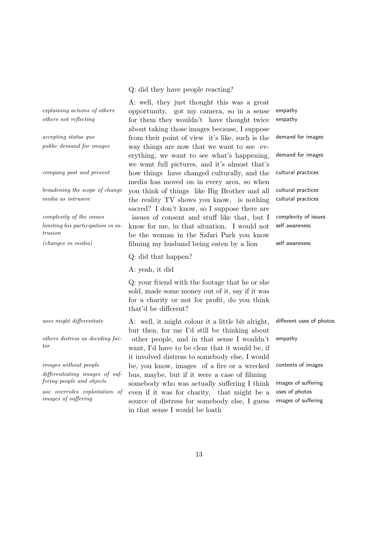#### Q: did they have people reacting?

A: well, they just thought this was a great explaining actions of others opportunity, got my camera, so in a sense empathy others not reflecting for them they wouldn't have thought twice empathy about taking those images because, I suppose accepting status quo from their point of view it's like, such is the demand for images public demand for images way things are now that we want to see everything, we want to see what's happening, demand for images we want full pictures, and it's almost that's company past and present how things have changed culturally, and the cultural practices media has moved on in every area, so when broadening the scope of change you think of things like Big Brother and all cultural practices<br>media as intrusive the reality TV shows you know is nothing cultural practices the reality TV shows you know, is nothing cultural practices sacred? I don't know, so I suppose there are complexity of the issues issues of consent and stuff like that, but I complexity of issues limiting his participation in in- know for me, in that situation, I would not trusion self awareness be the woman in the Safari Park you know (changes in media) filming my husband being eaten by a lion self awareness Q: did that happen? A: yeah, it did Q: your friend with the footage that he or she sold, made some money out of it, say if it was for a charity or not for profit, do you think that'd be different? uses might differentiate A: well, it might colour it a little bit alright, different uses of photos but then, for me I'd still be thinking about others distress as deciding fac- other people, and in that sense I wouldn't tor empathy want, I'd have to be clear that it would be, if it involved distress to somebody else, I would images without people be, you know, images of a fire or a wrecked contents of images differentiating images of suf-<br>bus, maybe, but if it were a case of filming<br>fering people and objects<br>complexed who was actually suffering I think somebody who was actually suffering I think images of suffering use overrides exploitation of even if it was for charity, that might be a uses of photos images of suffering source of districts for somebody close I guess images of suffering source of distress for somebody else, I guess images of suffering

in that sense I would be loath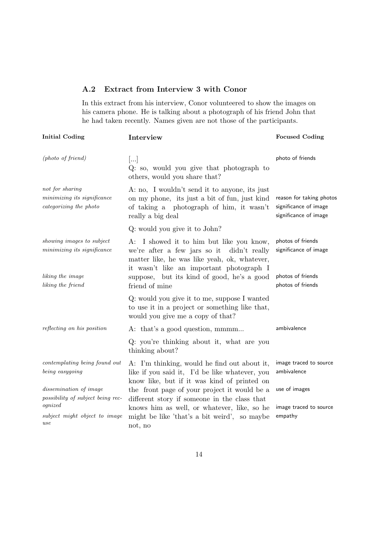### A.2 Extract from Interview 3 with Conor

In this extract from his interview, Conor volunteered to show the images on his camera phone. He is talking about a photograph of his friend John that he had taken recently. Names given are not those of the participants.

| <b>Initial Coding</b>                                                    | Interview                                                                                                                                                                             | <b>Focused Coding</b>                                                      |
|--------------------------------------------------------------------------|---------------------------------------------------------------------------------------------------------------------------------------------------------------------------------------|----------------------------------------------------------------------------|
| (photo of friend)                                                        | $\left[ \ldots \right]$<br>Q: so, would you give that photograph to<br>others, would you share that?                                                                                  | photo of friends                                                           |
| not for sharing<br>minimizing its significance<br>categorizing the photo | A: no, I wouldn't send it to anyone, its just<br>on my phone, its just a bit of fun, just kind<br>of taking a photograph of him, it wasn't<br>really a big deal                       | reason for taking photos<br>significance of image<br>significance of image |
|                                                                          | Q: would you give it to John?                                                                                                                                                         |                                                                            |
| showing images to subject<br>minimizing its significance                 | A: I showed it to him but like you know,<br>we're after a few jars so it<br>didn't really<br>matter like, he was like yeah, ok, whatever,<br>it wasn't like an important photograph I | photos of friends<br>significance of image                                 |
| liking the image<br>liking the friend                                    | suppose, but its kind of good, he's a good<br>friend of mine                                                                                                                          | photos of friends<br>photos of friends                                     |
|                                                                          | $Q$ : would you give it to me, suppose I wanted<br>to use it in a project or something like that,<br>would you give me a copy of that?                                                |                                                                            |
| reflecting on his position                                               | A: that's a good question, mmmm                                                                                                                                                       | ambivalence                                                                |
|                                                                          | Q: you're thinking about it, what are you<br>thinking about?                                                                                                                          |                                                                            |
| contemplating being found out<br>being easygoing                         | A: I'm thinking, would he find out about it,<br>like if you said it, I'd be like whatever, you<br>know like, but if it was kind of printed on                                         | image traced to source<br>ambivalence                                      |
| dissemination of image<br>possibility of subject being rec-              | the front page of your project it would be a<br>different story if someone in the class that                                                                                          | use of images                                                              |
| ognized                                                                  | knows him as well, or whatever, like, so he                                                                                                                                           | image traced to source                                                     |
| subject might object to image<br>use                                     | might be like 'that's a bit weird', so maybe<br>not, no                                                                                                                               | empathy                                                                    |